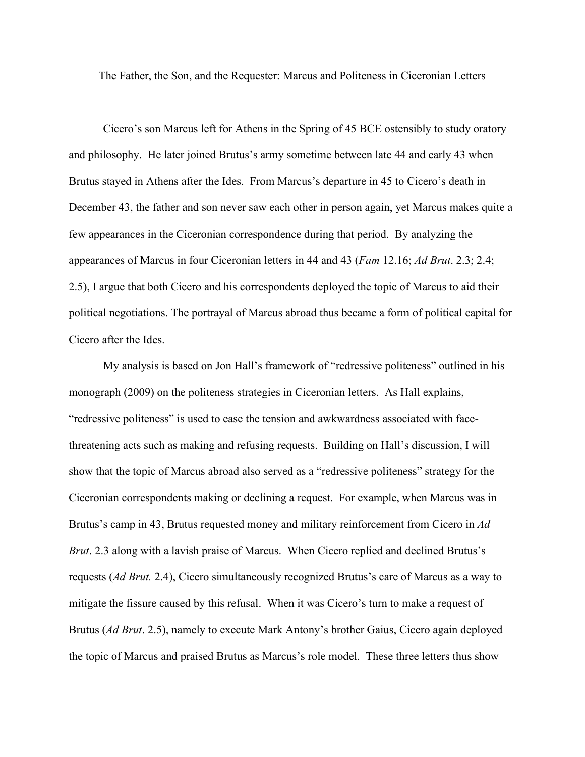The Father, the Son, and the Requester: Marcus and Politeness in Ciceronian Letters

Cicero's son Marcus left for Athens in the Spring of 45 BCE ostensibly to study oratory and philosophy. He later joined Brutus's army sometime between late 44 and early 43 when Brutus stayed in Athens after the Ides. From Marcus's departure in 45 to Cicero's death in December 43, the father and son never saw each other in person again, yet Marcus makes quite a few appearances in the Ciceronian correspondence during that period. By analyzing the appearances of Marcus in four Ciceronian letters in 44 and 43 (*Fam* 12.16; *Ad Brut*. 2.3; 2.4; 2.5), I argue that both Cicero and his correspondents deployed the topic of Marcus to aid their political negotiations. The portrayal of Marcus abroad thus became a form of political capital for Cicero after the Ides.

My analysis is based on Jon Hall's framework of "redressive politeness" outlined in his monograph (2009) on the politeness strategies in Ciceronian letters. As Hall explains, "redressive politeness" is used to ease the tension and awkwardness associated with facethreatening acts such as making and refusing requests. Building on Hall's discussion, I will show that the topic of Marcus abroad also served as a "redressive politeness" strategy for the Ciceronian correspondents making or declining a request. For example, when Marcus was in Brutus's camp in 43, Brutus requested money and military reinforcement from Cicero in *Ad Brut*. 2.3 along with a lavish praise of Marcus. When Cicero replied and declined Brutus's requests (*Ad Brut.* 2.4), Cicero simultaneously recognized Brutus's care of Marcus as a way to mitigate the fissure caused by this refusal. When it was Cicero's turn to make a request of Brutus (*Ad Brut*. 2.5), namely to execute Mark Antony's brother Gaius, Cicero again deployed the topic of Marcus and praised Brutus as Marcus's role model. These three letters thus show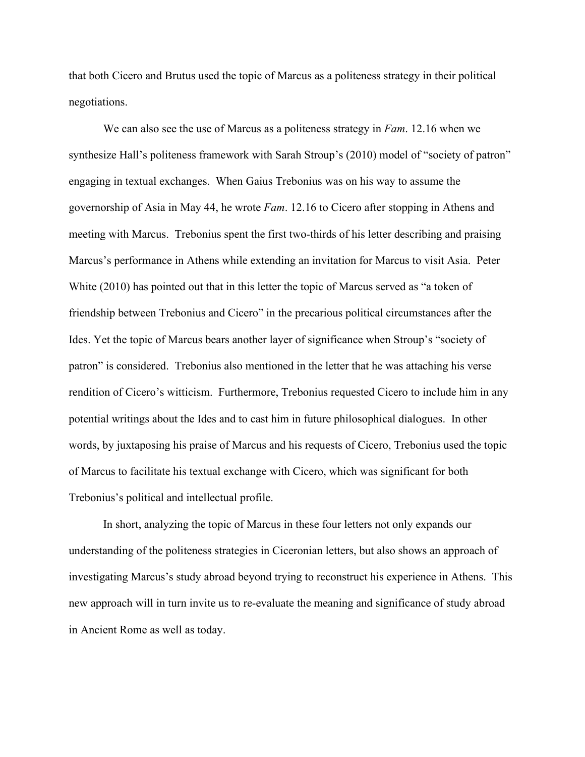that both Cicero and Brutus used the topic of Marcus as a politeness strategy in their political negotiations.

We can also see the use of Marcus as a politeness strategy in *Fam*. 12.16 when we synthesize Hall's politeness framework with Sarah Stroup's (2010) model of "society of patron" engaging in textual exchanges. When Gaius Trebonius was on his way to assume the governorship of Asia in May 44, he wrote *Fam*. 12.16 to Cicero after stopping in Athens and meeting with Marcus. Trebonius spent the first two-thirds of his letter describing and praising Marcus's performance in Athens while extending an invitation for Marcus to visit Asia. Peter White (2010) has pointed out that in this letter the topic of Marcus served as "a token of friendship between Trebonius and Cicero" in the precarious political circumstances after the Ides. Yet the topic of Marcus bears another layer of significance when Stroup's "society of patron" is considered. Trebonius also mentioned in the letter that he was attaching his verse rendition of Cicero's witticism. Furthermore, Trebonius requested Cicero to include him in any potential writings about the Ides and to cast him in future philosophical dialogues. In other words, by juxtaposing his praise of Marcus and his requests of Cicero, Trebonius used the topic of Marcus to facilitate his textual exchange with Cicero, which was significant for both Trebonius's political and intellectual profile.

In short, analyzing the topic of Marcus in these four letters not only expands our understanding of the politeness strategies in Ciceronian letters, but also shows an approach of investigating Marcus's study abroad beyond trying to reconstruct his experience in Athens. This new approach will in turn invite us to re-evaluate the meaning and significance of study abroad in Ancient Rome as well as today.